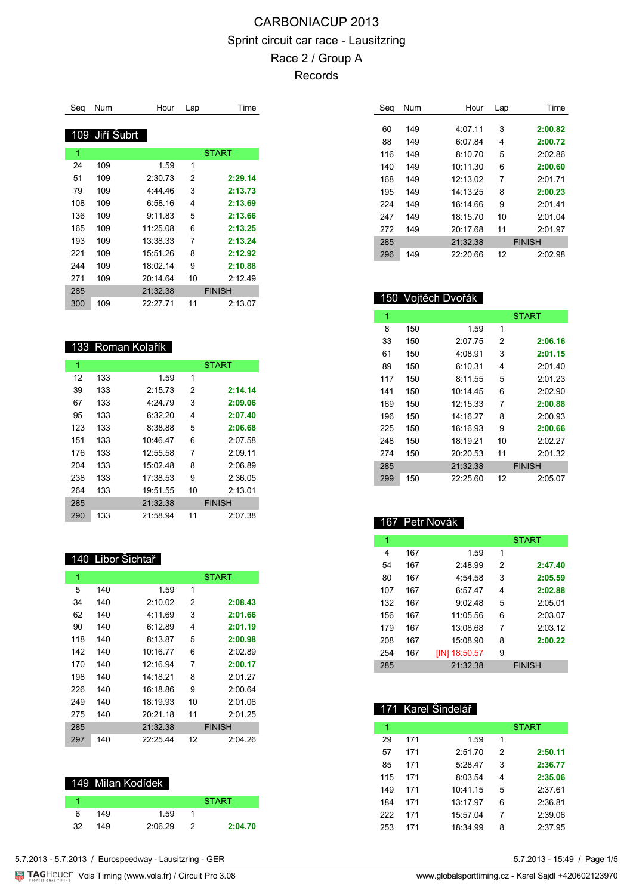| Seq | <b>Num</b>     | Hour     | Lap | Time          |
|-----|----------------|----------|-----|---------------|
|     | 109 Jiří Šubrt |          |     |               |
| 1   |                |          |     | <b>START</b>  |
| 24  | 109            | 1.59     | 1   |               |
| 51  | 109            | 2:30.73  | 2   | 2:29.14       |
| 79  | 109            | 4:44.46  | 3   | 2:13.73       |
| 108 | 109            | 6:58.16  | 4   | 2:13.69       |
| 136 | 109            | 9:11.83  | 5   | 2:13.66       |
| 165 | 109            | 11:25.08 | 6   | 2:13.25       |
| 193 | 109            | 13:38.33 | 7   | 2:13.24       |
| 221 | 109            | 15:51.26 | 8   | 2:12.92       |
| 244 | 109            | 18.0214  | 9   | 2:10.88       |
| 271 | 109            | 20.1464  | 10  | 2:12.49       |
| 285 |                | 21:32.38 |     | <b>FINISH</b> |
| 300 | 109            | 22:27.71 | 11  | 2:13.07       |

## 133 Roman Kolařík

I

| 1   |     |          |    | <b>START</b>  |
|-----|-----|----------|----|---------------|
| 12  | 133 | 1.59     | 1  |               |
| 39  | 133 | 2:15.73  | 2  | 2:14.14       |
| 67  | 133 | 4:24.79  | 3  | 2:09.06       |
| 95  | 133 | 6:32.20  | 4  | 2:07.40       |
| 123 | 133 | 8:38.88  | 5  | 2:06.68       |
| 151 | 133 | 10:46.47 | 6  | 2:07.58       |
| 176 | 133 | 12:55.58 | 7  | 2:09.11       |
| 204 | 133 | 15:02.48 | 8  | 2:06.89       |
| 238 | 133 | 17:38.53 | 9  | 2:36.05       |
| 264 | 133 | 19:51.55 | 10 | 2:13.01       |
| 285 |     | 21:32.38 |    | <b>FINISH</b> |
| 290 | 133 | 21:58.94 | 11 | 2:07.38       |

#### 140 Libor Šichtař

| 1   |     |          |    | <b>START</b>  |
|-----|-----|----------|----|---------------|
| 5   | 140 | 1.59     | 1  |               |
| 34  | 140 | 2:10.02  | 2  | 2:08.43       |
| 62  | 140 | 4:11.69  | 3  | 2:01.66       |
| 90  | 140 | 6:12.89  | 4  | 2:01.19       |
| 118 | 140 | 8:13.87  | 5  | 2:00.98       |
| 142 | 140 | 10:16.77 | 6  | 2:02.89       |
| 170 | 140 | 12:16.94 | 7  | 2:00.17       |
| 198 | 140 | 14:18 21 | 8  | 2.0127        |
| 226 | 140 | 16:18.86 | 9  | 2:00.64       |
| 249 | 140 | 18:19.93 | 10 | 2:01.06       |
| 275 | 140 | 20:21.18 | 11 | 2:01.25       |
| 285 |     | 21:32.38 |    | <b>FINISH</b> |
| 297 | 140 | 22:25.44 | 12 | 2:04.26       |

|    |     | 149 Milan Kodídek |              |
|----|-----|-------------------|--------------|
|    |     |                   | <b>START</b> |
| ิค | 149 | 1.59              |              |
| 32 | 149 | 2.0629            | 2:04.70      |

| Seq | Num | Hour     | Lap | Time          |
|-----|-----|----------|-----|---------------|
|     |     |          |     |               |
| 60  | 149 | 4:07.11  | 3   | 2:00.82       |
| 88  | 149 | 6:07.84  | 4   | 2:00.72       |
| 116 | 149 | 8:10.70  | 5   | 2:02.86       |
| 140 | 149 | 10:11.30 | 6   | 2:00.60       |
| 168 | 149 | 12.1302  | 7   | 2.0171        |
| 195 | 149 | 14:13.25 | 8   | 2:00.23       |
| 224 | 149 | 16:14 66 | 9   | 2.0141        |
| 247 | 149 | 18:15.70 | 10  | 2:01.04       |
| 272 | 149 | 20:1768  | 11  | 2:01.97       |
| 285 |     | 21:32.38 |     | <b>FINISH</b> |
| 296 | 149 | 22.20.66 | 12  | 2.02.98       |

## 150 Vojtěch Dvořák

| 1   |     |          |    | <b>START</b>  |
|-----|-----|----------|----|---------------|
| 8   | 150 | 1.59     | 1  |               |
| 33  | 150 | 2:07.75  | 2  | 2:06.16       |
| 61  | 150 | 4:08.91  | 3  | 2:01.15       |
| 89  | 150 | 6:10.31  | 4  | 2:01.40       |
| 117 | 150 | 8:11.55  | 5  | 2:01.23       |
| 141 | 150 | 10:14.45 | 6  | 2:02.90       |
| 169 | 150 | 12:15.33 | 7  | 2:00.88       |
| 196 | 150 | 14.1627  | 8  | 2:00.93       |
| 225 | 150 | 16:16.93 | 9  | 2:00.66       |
| 248 | 150 | 18:19.21 | 10 | 2:02.27       |
| 274 | 150 | 20:20.53 | 11 | 2:01.32       |
| 285 |     | 21:32.38 |    | <b>FINISH</b> |
| 299 | 150 | 22:25.60 | 12 | 2:05.07       |

## 167 Petr Novák

171 Karel Šindelář

| 1   |     |               |   | <b>START</b>  |
|-----|-----|---------------|---|---------------|
| 4   | 167 | 1.59          | 1 |               |
| 54  | 167 | 2:48.99       | 2 | 2:47.40       |
| 80  | 167 | 4:54.58       | 3 | 2:05.59       |
| 107 | 167 | 6.5747        | 4 | 2:02.88       |
| 132 | 167 | 9.0248        | 5 | 2:05.01       |
| 156 | 167 | 11:05.56      | 6 | 2:03.07       |
| 179 | 167 | 13:08.68      | 7 | 2:03.12       |
| 208 | 167 | 15:08.90      | 8 | 2:00.22       |
| 254 | 167 | [IN] 18:50.57 | 9 |               |
| 285 |     | 21:32.38      |   | <b>FINISH</b> |

|     |     | naith Uillutial |   |              |
|-----|-----|-----------------|---|--------------|
| 1   |     |                 |   | <b>START</b> |
| 29  | 171 | 1.59            | 1 |              |
| 57  | 171 | 2:51.70         | 2 | 2:50.11      |
| 85  | 171 | 5:28.47         | 3 | 2:36.77      |
| 115 | 171 | 8:03.54         | 4 | 2:35.06      |
| 149 | 171 | 10:41.15        | 5 | 2:37.61      |
| 184 | 171 | 13.17.97        | 6 | 2:36.81      |
| 222 | 171 | 15:57.04        | 7 | 2:39.06      |
| 253 | 171 | 18:34.99        | 8 | 2:37.95      |

 $5.7.2013 - 15.49$  / Page  $1/5$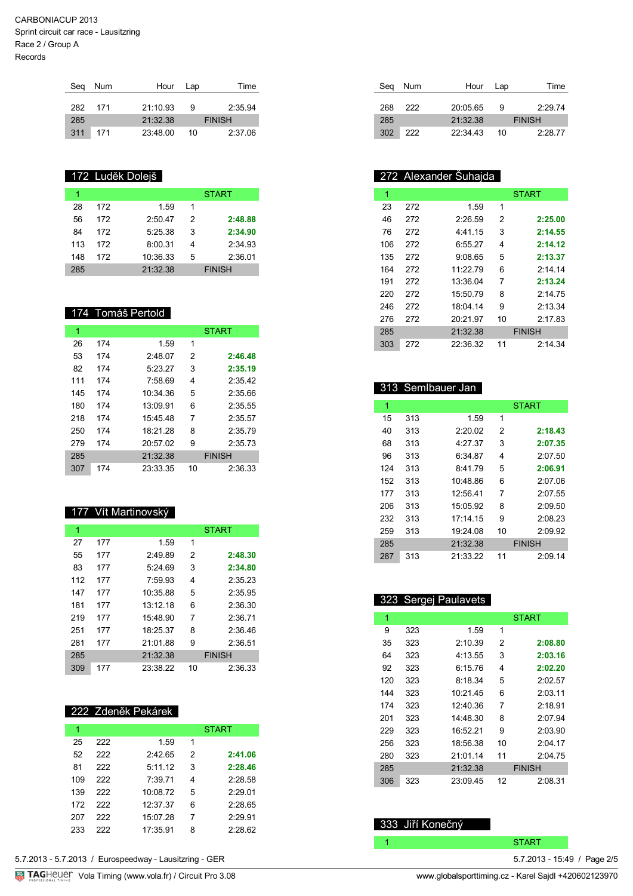| Seg | Num | Hour     | Lap | Time          |  |
|-----|-----|----------|-----|---------------|--|
|     |     |          |     |               |  |
| 282 | 171 | 21.1093  | я   | 2:35.94       |  |
| 285 |     | 21:32.38 |     | <b>FINISH</b> |  |
| 311 | 171 | 23:48.00 | 10  | 2:37.06       |  |

## 172 Luděk Dolejš

|     |     |          |   | <b>START</b>  |
|-----|-----|----------|---|---------------|
| 28  | 172 | 1.59     | 1 |               |
| 56  | 172 | 2:50.47  | 2 | 2:48.88       |
| 84  | 172 | 5.25.38  | 3 | 2:34.90       |
| 113 | 172 | 8:00.31  | 4 | 2:34.93       |
| 148 | 172 | 10:36.33 | 5 | 2:36.01       |
| 285 |     | 21:32.38 |   | <b>FINISH</b> |

### 174 Tomáš Pertold

| 1   |     |          |    | <b>START</b>  |
|-----|-----|----------|----|---------------|
| 26  | 174 | 1.59     | 1  |               |
| 53  | 174 | 2:48.07  | 2  | 2:46.48       |
| 82  | 174 | 5:23.27  | 3  | 2:35.19       |
| 111 | 174 | 7:58.69  | 4  | 2:35.42       |
| 145 | 174 | 10:34.36 | 5  | 2:35.66       |
| 180 | 174 | 13.09.91 | 6  | 2:35.55       |
| 218 | 174 | 15:45.48 | 7  | 2:35.57       |
| 250 | 174 | 18:21.28 | 8  | 2:35.79       |
| 279 | 174 | 20:57.02 | 9  | 2:35.73       |
| 285 |     | 21:32.38 |    | <b>FINISH</b> |
| 307 | 174 | 23:33.35 | 10 | 2:36.33       |

#### 177 Vít Martinovský

| 1   |     |          |    | <b>START</b>  |
|-----|-----|----------|----|---------------|
| 27  | 177 | 1.59     | 1  |               |
| 55  | 177 | 2:49.89  | 2  | 2:48.30       |
| 83  | 177 | 5:24.69  | 3  | 2:34.80       |
| 112 | 177 | 7:59.93  | 4  | 2:35.23       |
| 147 | 177 | 10:35.88 | 5  | 2:35.95       |
| 181 | 177 | 13:12.18 | 6  | 2:36.30       |
| 219 | 177 | 15:48.90 | 7  | 2:36.71       |
| 251 | 177 | 18:25.37 | 8  | 2:36.46       |
| 281 | 177 | 21:01.88 | 9  | 2:36.51       |
| 285 |     | 21:32.38 |    | <b>FINISH</b> |
| 309 | 177 | 23:38.22 | 10 | 2:36.33       |

#### 222 Zdeněk Pekárek

|     |     |          |   | <b>START</b> |
|-----|-----|----------|---|--------------|
| 25  | 222 | 1.59     | 1 |              |
| 52  | 222 | 2:42.65  | 2 | 2:41.06      |
| 81  | 222 | 5:11.12  | 3 | 2:28.46      |
| 109 | 222 | 7:39.71  | 4 | 2:28.58      |
| 139 | 222 | 10:08.72 | 5 | 2:29.01      |
| 172 | 222 | 12:37.37 | 6 | 2:28.65      |
| 207 | 222 | 15:07.28 | 7 | 2:29.91      |
| 233 | 222 | 17:35.91 | 8 | 2:28.62      |

| Seg | Num | Hour Lap |    | Time          |
|-----|-----|----------|----|---------------|
| 268 | 222 | 20:05.65 | 9  | 2:29.74       |
| 285 |     | 21:32.38 |    | <b>FINISH</b> |
| 302 | 222 | 22.3443  | 10 | 2:28.77       |

## 272 Alexander Šuhajda

| 1   |     |          |    | <b>START</b>  |
|-----|-----|----------|----|---------------|
| 23  | 272 | 1.59     | 1  |               |
| 46  | 272 | 2:26.59  | 2  | 2:25.00       |
| 76  | 272 | 4:41.15  | 3  | 2:14.55       |
| 106 | 272 | 6:55.27  | 4  | 2:14.12       |
| 135 | 272 | 9:08.65  | 5  | 2:13.37       |
| 164 | 272 | 11:2279  | 6  | $2.14$ 14     |
| 191 | 272 | 13:36.04 | 7  | 2:13.24       |
| 220 | 272 | 15:50.79 | 8  | 2:14.75       |
| 246 | 272 | 18:04.14 | 9  | 2:13.34       |
| 276 | 272 | 20:21.97 | 10 | 2:17.83       |
| 285 |     | 21:32.38 |    | <b>FINISH</b> |
| 303 | 272 | 22:36.32 | 11 | 2:14.34       |

## 313 Semlbauer Jan

| 1   |     |            |    | <b>START</b>  |
|-----|-----|------------|----|---------------|
| 15  | 313 | 1.59       | 1  |               |
| 40  | 313 | 2.2002     | 2  | 2:18.43       |
| 68  | 313 | 4.27.37    | 3  | 2:07.35       |
| 96  | 313 | 6:34 87    | 4  | 2:07.50       |
| 124 | 313 | 8:4179     | 5  | 2:06.91       |
| 152 | 313 | 10.48.86   | 6  | 2.0706        |
| 177 | 313 | 12:56.41   | 7  | 2:07.55       |
| 206 | 313 | 15:05.92   | 8  | 2:09.50       |
| 232 | 313 | $17.14$ 15 | 9  | 2:08.23       |
| 259 | 313 | 19.2408    | 10 | 2:09.92       |
| 285 |     | 21:32.38   |    | <b>FINISH</b> |
| 287 | 313 | 21:33.22   | 11 | 2.0914        |

## 323 Sergej Paulavets

| 1   |     |          |    | <b>START</b>  |
|-----|-----|----------|----|---------------|
| 9   | 323 | 1.59     | 1  |               |
| 35  | 323 | 2:10.39  | 2  | 2:08.80       |
| 64  | 323 | 4:13.55  | 3  | 2:03.16       |
| 92  | 323 | 6:15.76  | 4  | 2:02.20       |
| 120 | 323 | 8:18.34  | 5  | 2:02.57       |
| 144 | 323 | 10:21.45 | 6  | 2:03.11       |
| 174 | 323 | 12:40.36 | 7  | 2:18.91       |
| 201 | 323 | 14.48.30 | 8  | 2.0794        |
| 229 | 323 | 16:52.21 | 9  | 2:03.90       |
| 256 | 323 | 18:56.38 | 10 | 2:04.17       |
| 280 | 323 | 21:01.14 | 11 | 2:04.75       |
| 285 |     | 21:32.38 |    | <b>FINISH</b> |
| 306 | 323 | 23:09.45 | 12 | 2:08.31       |

## 333 Jiří Konečný

1 START START START START START START START START START START START START START START START START START START START START START START START START START START START START START START START START START START START START STAR

 $5.7.2013 - 15.49$  / Page  $2/5$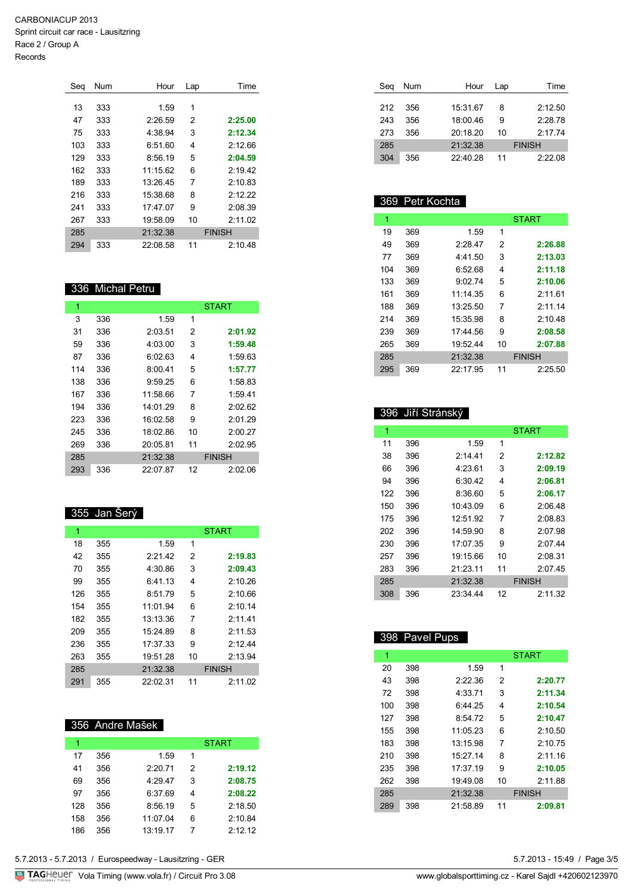| Sea | Num | Hour     | Lap | Time          |  |
|-----|-----|----------|-----|---------------|--|
|     |     |          |     |               |  |
| 13  | 333 | 1.59     | 1   |               |  |
| 47  | 333 | 2:26.59  | 2   | 2:25.00       |  |
| 75  | 333 | 4:38.94  | 3   | 2:12.34       |  |
| 103 | 333 | 6:51.60  | 4   | 2:12.66       |  |
| 129 | 333 | 8:56.19  | 5   | 2:04.59       |  |
| 162 | 333 | 11:15.62 | 6   | 2:19.42       |  |
| 189 | 333 | 13:26.45 | 7   | 2:10.83       |  |
| 216 | 333 | 15:38.68 | 8   | 2:12.22       |  |
| 241 | 333 | 17.47.07 | 9   | 2:08.39       |  |
| 267 | 333 | 19:58.09 | 10  | 2:11.02       |  |
| 285 |     | 21:32.38 |     | <b>FINISH</b> |  |
| 294 | 333 | 22:08.58 | 11  | 2:10.48       |  |

#### 336 Michal Petru

| 1   |     |          |    | <b>START</b>  |
|-----|-----|----------|----|---------------|
| 3   | 336 | 1.59     | 1  |               |
| 31  | 336 | 2:03.51  | 2  | 2:01.92       |
| 59  | 336 | 4:03.00  | 3  | 1:59.48       |
| 87  | 336 | 6:02.63  | 4  | 1:59.63       |
| 114 | 336 | 8:00.41  | 5  | 1:57.77       |
| 138 | 336 | 9:59.25  | 6  | 1:58.83       |
| 167 | 336 | 11:58.66 | 7  | 1:59.41       |
| 194 | 336 | 14:01 29 | 8  | 2.02.62       |
| 223 | 336 | 16:02.58 | 9  | 2:01.29       |
| 245 | 336 | 18:02.86 | 10 | 2:00.27       |
| 269 | 336 | 20:05.81 | 11 | 2:02.95       |
| 285 |     | 21:32.38 |    | <b>FINISH</b> |
| 293 | 336 | 22:07.87 | 12 | 2:02.06       |

#### 355 Jan Šerý

Ī

| 1   |     |          |    | <b>START</b>  |
|-----|-----|----------|----|---------------|
| 18  | 355 | 1.59     | 1  |               |
| 42  | 355 | 2:21.42  | 2  | 2:19.83       |
| 70  | 355 | 4:30.86  | 3  | 2:09.43       |
| 99  | 355 | 6:41 13  | 4  | 2:10.26       |
| 126 | 355 | 8:51.79  | 5  | 2:10.66       |
| 154 | 355 | 11:01.94 | 6  | 2:10.14       |
| 182 | 355 | 13:13.36 | 7  | 2:11.41       |
| 209 | 355 | 15:24.89 | 8  | 2:11.53       |
| 236 | 355 | 17:37.33 | 9  | 2:12.44       |
| 263 | 355 | 19:51.28 | 10 | 2:13.94       |
| 285 |     | 21:32.38 |    | <b>FINISH</b> |
| 291 | 355 | 22:02.31 | 11 | 2:11.02       |

## 356 Andre Mašek

| 1   |     |          |   | <b>START</b> |
|-----|-----|----------|---|--------------|
| 17  | 356 | 1.59     | 1 |              |
| 41  | 356 | 2:20.71  | 2 | 2:19.12      |
| 69  | 356 | 4:29.47  | 3 | 2:08.75      |
| 97  | 356 | 6:37.69  | 4 | 2:08.22      |
| 128 | 356 | 8:56.19  | 5 | 2:18.50      |
| 158 | 356 | 11:07.04 | 6 | 2:10.84      |
| 186 | 356 | 13:19.17 | 7 | 2:12.12      |

| Seg | Num | Hour     | Lap | Time          |  |
|-----|-----|----------|-----|---------------|--|
|     |     |          |     |               |  |
| 212 | 356 | 15:31.67 | 8   | 2:12.50       |  |
| 243 | 356 | 18:00.46 | 9   | 2:28.78       |  |
| 273 | 356 | 20:18.20 | 10  | 2.1774        |  |
| 285 |     | 21:32.38 |     | <b>FINISH</b> |  |
| 304 | 356 | 22:40.28 | 11  | 2:22.08       |  |

## 369 Petr Kochta

| 1   |     |          |    | <b>START</b>  |
|-----|-----|----------|----|---------------|
| 19  | 369 | 1.59     | 1  |               |
| 49  | 369 | 2:28.47  | 2  | 2:26.88       |
| 77  | 369 | 4.41.50  | 3  | 2:13.03       |
| 104 | 369 | 6:52.68  | 4  | 2:11.18       |
| 133 | 369 | 9.0274   | 5  | 2:10.06       |
| 161 | 369 | 11.14.35 | 6  | 2.1161        |
| 188 | 369 | 13:25.50 | 7  | 2.11.14       |
| 214 | 369 | 15:35.98 | 8  | 2:10.48       |
| 239 | 369 | 17:44 56 | 9  | 2:08.58       |
| 265 | 369 | 19.5244  | 10 | 2:07.88       |
| 285 |     | 21:32.38 |    | <b>FINISH</b> |
| 295 | 369 | 22.1795  | 11 | 2:25.50       |

#### 396 Jiří Stránský

| 1   |     |          |    | <b>START</b>  |
|-----|-----|----------|----|---------------|
| 11  | 396 | 1.59     | 1  |               |
| 38  | 396 | 2.1441   | 2  | 2:12.82       |
| 66  | 396 | 4.2361   | 3  | 2:09.19       |
| 94  | 396 | 6:30.42  | 4  | 2:06.81       |
| 122 | 396 | 8:36.60  | 5  | 2:06.17       |
| 150 | 396 | 10:43.09 | 6  | 2:06.48       |
| 175 | 396 | 12:51.92 | 7  | 2:08.83       |
| 202 | 396 | 14:59.90 | 8  | 2:07.98       |
| 230 | 396 | 17:07.35 | 9  | 2:07.44       |
| 257 | 396 | 19:15.66 | 10 | 2:08.31       |
| 283 | 396 | 21.23.11 | 11 | 2:07.45       |
| 285 |     | 21:32.38 |    | <b>FINISH</b> |
| 308 | 396 | 23:34.44 | 12 | 2:11.32       |

### 398 Pavel Pups

| 1   |     |          |    | <b>START</b>  |
|-----|-----|----------|----|---------------|
| 20  | 398 | 1.59     | 1  |               |
| 43  | 398 | 2.22.36  | 2  | 2:20.77       |
| 72  | 398 | 4:33.71  | 3  | 2:11.34       |
| 100 | 398 | 6:44.25  | 4  | 2:10.54       |
| 127 | 398 | 8:54.72  | 5  | 2:10.47       |
| 155 | 398 | 11:05.23 | 6  | 2:10.50       |
| 183 | 398 | 13:15.98 | 7  | 2:10.75       |
| 210 | 398 | 15.2714  | 8  | 2.1116        |
| 235 | 398 | 17:37.19 | 9  | 2:10.05       |
| 262 | 398 | 19:49.08 | 10 | 2:11.88       |
| 285 |     | 21:32.38 |    | <b>FINISH</b> |
| 289 | 398 | 21:58.89 | 11 | 2:09.81       |

5.7.2013 - 15:49 / Page 3/5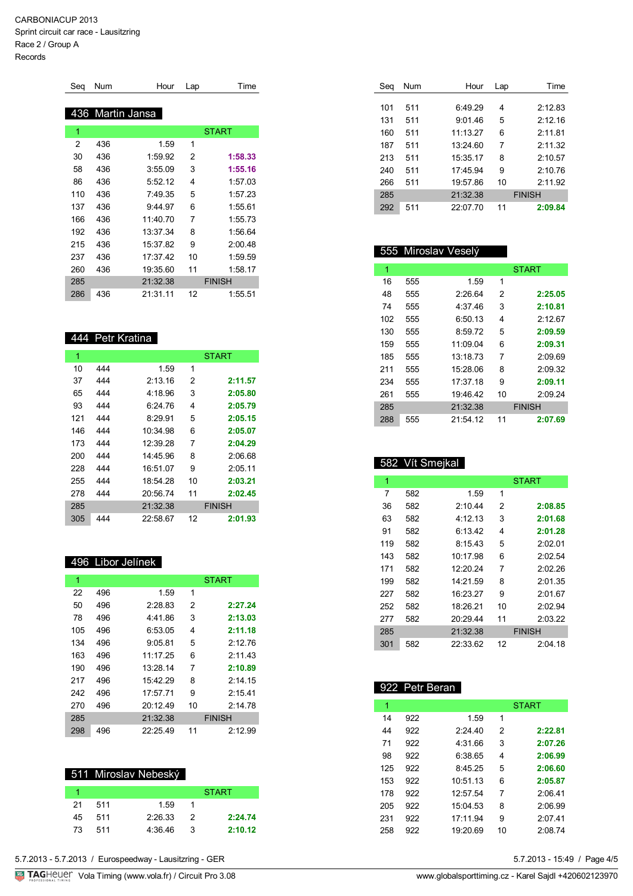| Seg | Num | Hour         | Lap | Time          |
|-----|-----|--------------|-----|---------------|
|     |     |              |     |               |
| 436 |     | Martin Jansa |     |               |
| 1   |     |              |     | <b>START</b>  |
| 2   | 436 | 1.59         | 1   |               |
| 30  | 436 | 1:59.92      | 2   | 1:58.33       |
| 58  | 436 | 3:55.09      | 3   | 1:55.16       |
| 86  | 436 | 5:52.12      | 4   | 1:57.03       |
| 110 | 436 | 7:49.35      | 5   | 1:57.23       |
| 137 | 436 | 9:44.97      | 6   | 1:55.61       |
| 166 | 436 | 11:40.70     | 7   | 1:55.73       |
| 192 | 436 | 13:37.34     | 8   | 1:56.64       |
| 215 | 436 | 15:37.82     | 9   | 2:00.48       |
| 237 | 436 | 17:37.42     | 10  | 1:59.59       |
| 260 | 436 | 19:35.60     | 11  | 1:58.17       |
| 285 |     | 21:32.38     |     | <b>FINISH</b> |
| 286 | 436 | 21:31.11     | 12  | 1:55.51       |

#### 444 Petr Kratina

| 1   |     |          |    | <b>START</b>  |
|-----|-----|----------|----|---------------|
| 10  | 444 | 1.59     | 1  |               |
| 37  | 444 | 2:13.16  | 2  | 2:11.57       |
| 65  | 444 | 4:18.96  | 3  | 2:05.80       |
| 93  | 444 | 6.24.76  | 4  | 2:05.79       |
| 121 | 444 | 8:29.91  | 5  | 2:05.15       |
| 146 | 444 | 10:34.98 | 6  | 2:05.07       |
| 173 | 444 | 12:39.28 | 7  | 2:04.29       |
| 200 | 444 | 14:45.96 | 8  | 2:06.68       |
| 228 | 444 | 16:51.07 | 9  | 2:05.11       |
| 255 | 444 | 18:54.28 | 10 | 2:03.21       |
| 278 | 444 | 20:56.74 | 11 | 2:02.45       |
| 285 |     | 21:32.38 |    | <b>FINISH</b> |
| 305 | 444 | 22:58.67 | 12 | 2:01.93       |

#### 496 Libor Jelínek

| 1   |     |          |    | <b>START</b>  |
|-----|-----|----------|----|---------------|
| 22  | 496 | 1.59     | 1  |               |
| 50  | 496 | 2:28.83  | 2  | 2:27.24       |
| 78  | 496 | 4.4186   | 3  | 2:13.03       |
| 105 | 496 | 6:53.05  | 4  | 2:11.18       |
| 134 | 496 | 9:05.81  | 5  | 2:12.76       |
| 163 | 496 | 11.17.25 | 6  | 2:11.43       |
| 190 | 496 | 13:28.14 | 7  | 2:10.89       |
| 217 | 496 | 15:42.29 | 8  | 2:14.15       |
| 242 | 496 | 17:57.71 | 9  | 2:15.41       |
| 270 | 496 | 20:12.49 | 10 | 2:14.78       |
| 285 |     | 21:32.38 |    | <b>FINISH</b> |
| 298 | 496 | 22:25.49 | 11 | 2:12.99       |

|    |     | 511 Miroslav Nebeský |               |              |
|----|-----|----------------------|---------------|--------------|
|    |     |                      |               | <b>START</b> |
| 21 | 511 | 1.59                 |               |              |
| 45 | 511 | 2:26.33              | $\mathcal{L}$ | 2:24.74      |
| 73 | 511 | 4:36.46              | З             | 2:10.12      |

| Seg | Num | Hour     | Lap | Time          |
|-----|-----|----------|-----|---------------|
|     |     |          |     |               |
| 101 | 511 | 6:49.29  | 4   | 2:12.83       |
| 131 | 511 | 9:01.46  | 5   | 2:12.16       |
| 160 | 511 | 11:13.27 | 6   | 2:11.81       |
| 187 | 511 | 13:24.60 | 7   | 2:11.32       |
| 213 | 511 | 15:35.17 | 8   | 2:10.57       |
| 240 | 511 | 17:45.94 | 9   | 2:10.76       |
| 266 | 511 | 19:57.86 | 10  | 2:11.92       |
| 285 |     | 21:32.38 |     | <b>FINISH</b> |
| 292 | 511 | 22:07.70 | 11  | 2:09.84       |

#### 555 Miroslav Veselý

| 1   |     |          |    | <b>START</b>  |
|-----|-----|----------|----|---------------|
|     |     |          |    |               |
| 16  | 555 | 1.59     | 1  |               |
| 48  | 555 | 2.2664   | 2  | 2:25.05       |
| 74  | 555 | 4:37.46  | 3  | 2:10.81       |
| 102 | 555 | 6:50.13  | 4  | 2:12.67       |
| 130 | 555 | 8:59.72  | 5  | 2:09.59       |
| 159 | 555 | 11.0904  | 6  | 2:09.31       |
| 185 | 555 | 13.1873  | 7  | 2:09.69       |
| 211 | 555 | 15:28.06 | 8  | 2:09.32       |
| 234 | 555 | 17:37.18 | 9  | 2:09.11       |
| 261 | 555 | 19.4642  | 10 | 2.0924        |
| 285 |     | 21:32.38 |    | <b>FINISH</b> |
| 288 | 555 | 21:54.12 | 11 | 2:07.69       |

## 582 Vít Smejkal

| 1   |     |          |    | <b>START</b>  |
|-----|-----|----------|----|---------------|
| 7   | 582 | 1.59     | 1  |               |
| 36  | 582 | 2:10.44  | 2  | 2:08.85       |
| 63  | 582 | 4:12.13  | 3  | 2:01.68       |
| 91  | 582 | 6:13.42  | 4  | 2:01.28       |
| 119 | 582 | 8:15.43  | 5  | 2.02.01       |
| 143 | 582 | 10:17.98 | 6  | 2:02.54       |
| 171 | 582 | 12:20.24 | 7  | 2:02.26       |
| 199 | 582 | 14.21.59 | 8  | 2:01.35       |
| 227 | 582 | 16:23.27 | 9  | 2:01.67       |
| 252 | 582 | 18:26.21 | 10 | 2:02.94       |
| 277 | 582 | 20:29.44 | 11 | 2:03.22       |
| 285 |     | 21:32.38 |    | <b>FINISH</b> |
| 301 | 582 | 22:33.62 | 12 | 2:04.18       |

## 922 Petr Beran

| 1   |     |          |    | <b>START</b> |
|-----|-----|----------|----|--------------|
| 14  | 922 | 1.59     | 1  |              |
| 44  | 922 | 2:24.40  | 2  | 2:22.81      |
| 71  | 922 | 4.3166   | 3  | 2:07.26      |
| 98  | 922 | 6:38.65  | 4  | 2:06.99      |
| 125 | 922 | 8.4525   | 5  | 2:06.60      |
| 153 | 922 | 10:5113  | 6  | 2:05.87      |
| 178 | 922 | 12:57.54 | 7  | 2:06.41      |
| 205 | 922 | 15:04.53 | 8  | 2:06.99      |
| 231 | 922 | 17:11.94 | 9  | 2:07.41      |
| 258 | 922 | 19.2069  | 10 | 2.0874       |

5.7.2013 - 15:49 / Page 4/5